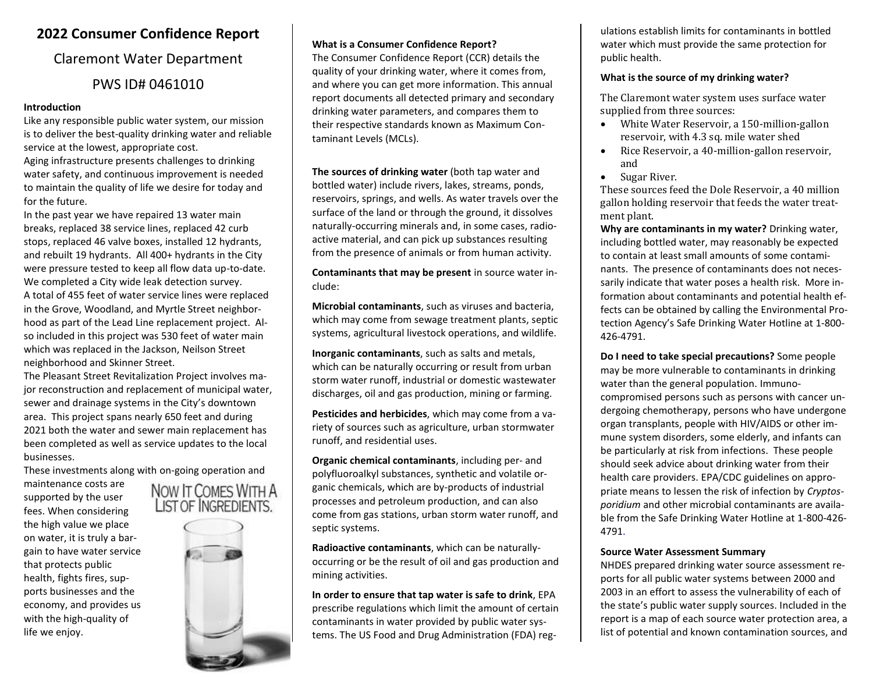### **2022 Consumer Confidence Report**

### Claremont Water Department PWS ID# 0461010

#### **Introduction**

Like any responsible public water system, our mission is to deliver the best-quality drinking water and reliable service at the lowest, appropriate cost.

Aging infrastructure presents challenges to drinking water safety, and continuous improvement is needed to maintain the quality of life we desire for today and for the future.

In the past year we have repaired 13 water main breaks, replaced 38 service lines, replaced 42 curb stops, replaced 46 valve boxes, installed 12 hydrants, and rebuilt 19 hydrants. All 400+ hydrants in the City were pressure tested to keep all flow data up-to-date. We completed a City wide leak detection survey. A total of 455 feet of water service lines were replaced in the Grove, Woodland, and Myrtle Street neighborhood as part of the Lead Line replacement project. Also included in this project was 530 feet of water main which was replaced in the Jackson, Neilson Street neighborhood and Skinner Street.

The Pleasant Street Revitalization Project involves major reconstruction and replacement of municipal water, sewer and drainage systems in the City's downtown area. This project spans nearly 650 feet and during 2021 both the water and sewer main replacement has been completed as well as service updates to the local businesses.

These investments along with on-going operation and

maintenance costs are supported by the user fees. When considering the high value we place on water, it is truly a bargain to have water service that protects public health, fights fires, supports businesses and the economy, and provides us with the high-quality of life we enjoy.



#### **What is a Consumer Confidence Report?**

The Consumer Confidence Report (CCR) details the quality of your drinking water, where it comes from, and where you can get more information. This annual report documents all detected primary and secondary drinking water parameters, and compares them to their respective standards known as Maximum Contaminant Levels (MCLs).

**The sources of drinking water** (both tap water and bottled water) include rivers, lakes, streams, ponds, reservoirs, springs, and wells. As water travels over the surface of the land or through the ground, it dissolves naturally-occurring minerals and, in some cases, radioactive material, and can pick up substances resulting from the presence of animals or from human activity.

**Contaminants that may be present** in source water include:

**Microbial contaminants**, such as viruses and bacteria, which may come from sewage treatment plants, septic systems, agricultural livestock operations, and wildlife.

**Inorganic contaminants**, such as salts and metals, which can be naturally occurring or result from urban storm water runoff, industrial or domestic wastewater discharges, oil and gas production, mining or farming.

**Pesticides and herbicides**, which may come from a variety of sources such as agriculture, urban stormwater runoff, and residential uses.

**Organic chemical contaminants**, including per- and polyfluoroalkyl substances, synthetic and volatile organic chemicals, which are by-products of industrial processes and petroleum production, and can also come from gas stations, urban storm water runoff, and septic systems.

**Radioactive contaminants**, which can be naturallyoccurring or be the result of oil and gas production and mining activities.

**In order to ensure that tap water is safe to drink**, EPA prescribe regulations which limit the amount of certain contaminants in water provided by public water systems. The US Food and Drug Administration (FDA) reg-

ulations establish limits for contaminants in bottled water which must provide the same protection for public health.

#### **What is the source of my drinking water?**

The Claremont water system uses surface water supplied from three sources:

- White Water Reservoir, a 150-million-gallon reservoir, with 4.3 sq. mile water shed
- Rice Reservoir, a 40-million-gallon reservoir, and
- Sugar River.

These sources feed the Dole Reservoir, a 40 million gallon holding reservoir that feeds the water treatment plant.

**Why are contaminants in my water?** Drinking water, including bottled water, may reasonably be expected to contain at least small amounts of some contaminants. The presence of contaminants does not necessarily indicate that water poses a health risk. More information about contaminants and potential health effects can be obtained by calling the Environmental Protection Agency's Safe Drinking Water Hotline at 1-800- 426-4791.

**Do I need to take special precautions?** Some people may be more vulnerable to contaminants in drinking water than the general population. Immunocompromised persons such as persons with cancer undergoing chemotherapy, persons who have undergone organ transplants, people with HIV/AIDS or other immune system disorders, some elderly, and infants can be particularly at risk from infections. These people should seek advice about drinking water from their health care providers. EPA/CDC guidelines on appropriate means to lessen the risk of infection by *Cryptosporidium* and other microbial contaminants are available from the Safe Drinking Water Hotline at 1-800-426- 4791.

#### **Source Water Assessment Summary**

NHDES prepared drinking water source assessment reports for all public water systems between 2000 and 2003 in an effort to assess the vulnerability of each of the state's public water supply sources. Included in the report is a map of each source water protection area, a list of potential and known contamination sources, and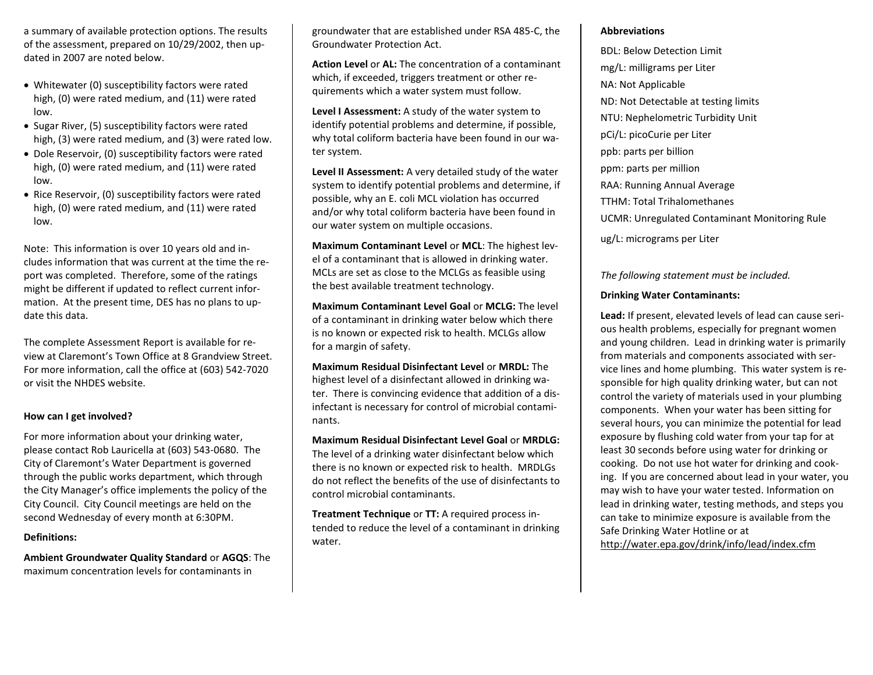a summary of available protection options. The results of the assessment, prepared on 10/29/2002, then updated in 2007 are noted below.

- Whitewater (0) susceptibility factors were rated high, (0) were rated medium, and (11) were rated low.
- Sugar River, (5) susceptibility factors were rated high, (3) were rated medium, and (3) were rated low.
- Dole Reservoir, (0) susceptibility factors were rated high, (0) were rated medium, and (11) were rated low.
- Rice Reservoir, (0) susceptibility factors were rated high, (0) were rated medium, and (11) were rated low.

Note: This information is over 10 years old and includes information that was current at the time the report was completed. Therefore, some of the ratings might be different if updated to reflect current information. At the present time, DES has no plans to update this data.

The complete Assessment Report is available for review at Claremont's Town Office at 8 Grandview Street. For more information, call the office at (603) 542-7020 or visit the NHDES website.

#### **How can I get involved?**

For more information about your drinking water, please contact Rob Lauricella at (603) 543-0680. The City of Claremont's Water Department is governed through the public works department, which through the City Manager's office implements the policy of the City Council. City Council meetings are held on the second Wednesday of every month at 6:30PM.

#### **Definitions:**

**Ambient Groundwater Quality Standard** or **AGQS**: The maximum concentration levels for contaminants in

groundwater that are established under RSA 485-C, the Groundwater Protection Act.

**Action Level** or **AL:** The concentration of a contaminant which, if exceeded, triggers treatment or other requirements which a water system must follow.

**Level I Assessment:** A study of the water system to identify potential problems and determine, if possible, why total coliform bacteria have been found in our water system.

**Level II Assessment:** A very detailed study of the water system to identify potential problems and determine, if possible, why an E. coli MCL violation has occurred and/or why total coliform bacteria have been found in our water system on multiple occasions.

**Maximum Contaminant Level** or **MCL**: The highest level of a contaminant that is allowed in drinking water. MCLs are set as close to the MCLGs as feasible using the best available treatment technology.

**Maximum Contaminant Level Goal** or **MCLG:** The level of a contaminant in drinking water below which there is no known or expected risk to health. MCLGs allow for a margin of safety.

**Maximum Residual Disinfectant Level** or **MRDL:** The highest level of a disinfectant allowed in drinking water. There is convincing evidence that addition of a disinfectant is necessary for control of microbial contaminants.

**Maximum Residual Disinfectant Level Goal** or **MRDLG:** The level of a drinking water disinfectant below which there is no known or expected risk to health. MRDLGs do not reflect the benefits of the use of disinfectants to control microbial contaminants.

**Treatment Technique** or **TT:** A required process intended to reduce the level of a contaminant in drinking water.

#### **Abbreviations**

BDL: Below Detection Limit mg/L: milligrams per Liter NA: Not Applicable ND: Not Detectable at testing limits NTU: Nephelometric Turbidity Unit pCi/L: picoCurie per Liter ppb: parts per billion ppm: parts per million RAA: Running Annual Average TTHM: Total Trihalomethanes UCMR: Unregulated Contaminant Monitoring Rule ug/L: micrograms per Liter

#### *The following statement must be included.*

### **Drinking Water Contaminants:**

**Lead:** If present, elevated levels of lead can cause serious health problems, especially for pregnant women and young children. Lead in drinking water is primarily from materials and components associated with service lines and home plumbing. This water system is responsible for high quality drinking water, but can not control the variety of materials used in your plumbing components. When your water has been sitting for several hours, you can minimize the potential for lead exposure by flushing cold water from your tap for at least 30 seconds before using water for drinking or cooking. Do not use hot water for drinking and cooking. If you are concerned about lead in your water, you may wish to have your water tested. Information on lead in drinking water, testing methods, and steps you can take to minimize exposure is available from the Safe Drinking Water Hotline or at <http://water.epa.gov/drink/info/lead/index.cfm>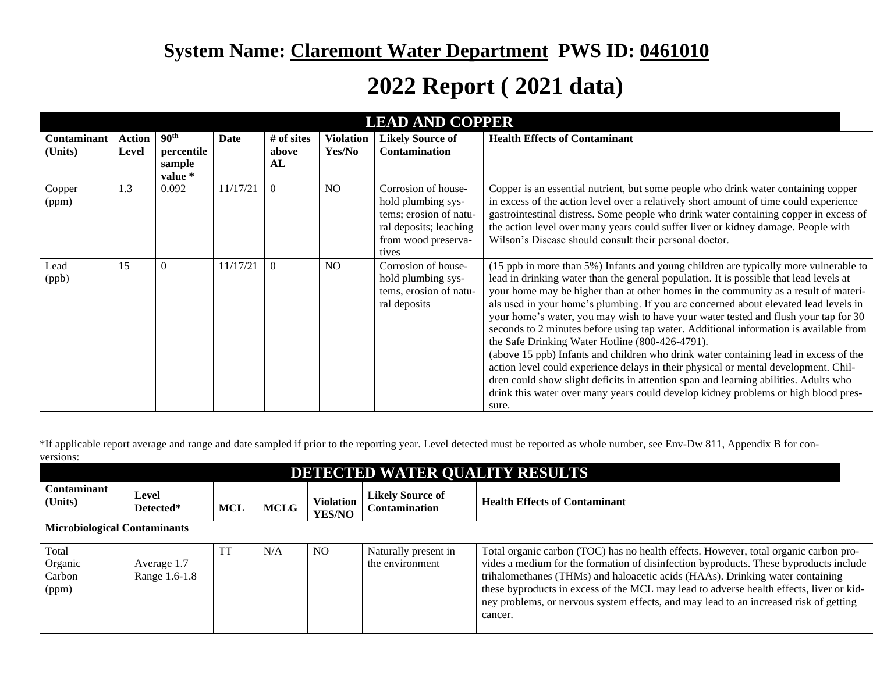## **System Name: Claremont Water Department PWS ID: 0461010**

# **2022 Report ( 2021 data)**

| <b>LEAD AND COPPER</b> |                        |                                                     |          |                           |                            |                                                                                                                               |                                                                                                                                                                                                                                                                                                                                                                                                                                                                                                                                                                                                                                                                                                                                                                                                                                                                                                                                                                        |  |
|------------------------|------------------------|-----------------------------------------------------|----------|---------------------------|----------------------------|-------------------------------------------------------------------------------------------------------------------------------|------------------------------------------------------------------------------------------------------------------------------------------------------------------------------------------------------------------------------------------------------------------------------------------------------------------------------------------------------------------------------------------------------------------------------------------------------------------------------------------------------------------------------------------------------------------------------------------------------------------------------------------------------------------------------------------------------------------------------------------------------------------------------------------------------------------------------------------------------------------------------------------------------------------------------------------------------------------------|--|
| Contaminant<br>(Units) | <b>Action</b><br>Level | 90 <sup>th</sup><br>percentile<br>sample<br>value * | Date     | # of sites<br>above<br>AL | <b>Violation</b><br>Yes/No | <b>Likely Source of</b><br><b>Contamination</b>                                                                               | <b>Health Effects of Contaminant</b>                                                                                                                                                                                                                                                                                                                                                                                                                                                                                                                                                                                                                                                                                                                                                                                                                                                                                                                                   |  |
| Copper<br>(ppm)        | 1.3                    | 0.092                                               | 11/17/21 | $\Omega$                  | N <sub>O</sub>             | Corrosion of house-<br>hold plumbing sys-<br>tems; erosion of natu-<br>ral deposits; leaching<br>from wood preserva-<br>tives | Copper is an essential nutrient, but some people who drink water containing copper<br>in excess of the action level over a relatively short amount of time could experience<br>gastrointestinal distress. Some people who drink water containing copper in excess of<br>the action level over many years could suffer liver or kidney damage. People with<br>Wilson's Disease should consult their personal doctor.                                                                                                                                                                                                                                                                                                                                                                                                                                                                                                                                                    |  |
| Lead<br>(ppb)          | 15                     | 0                                                   | 11/17/21 | $\Omega$                  | NO.                        | Corrosion of house-<br>hold plumbing sys-<br>tems, erosion of natu-<br>ral deposits                                           | (15 ppb in more than 5%) Infants and young children are typically more vulnerable to<br>lead in drinking water than the general population. It is possible that lead levels at<br>your home may be higher than at other homes in the community as a result of materi-<br>als used in your home's plumbing. If you are concerned about elevated lead levels in<br>your home's water, you may wish to have your water tested and flush your tap for 30<br>seconds to 2 minutes before using tap water. Additional information is available from<br>the Safe Drinking Water Hotline (800-426-4791).<br>(above 15 ppb) Infants and children who drink water containing lead in excess of the<br>action level could experience delays in their physical or mental development. Chil-<br>dren could show slight deficits in attention span and learning abilities. Adults who<br>drink this water over many years could develop kidney problems or high blood pres-<br>sure. |  |

\*If applicable report average and range and date sampled if prior to the reporting year. Level detected must be reported as whole number, see Env-Dw 811, Appendix B for conversions:

| DETECTED WATER QUALITY RESULTS      |                              |     |             |                                   |                                                 |                                                                                                                                                                                                                                                                                                                                                                                                                                                               |  |  |
|-------------------------------------|------------------------------|-----|-------------|-----------------------------------|-------------------------------------------------|---------------------------------------------------------------------------------------------------------------------------------------------------------------------------------------------------------------------------------------------------------------------------------------------------------------------------------------------------------------------------------------------------------------------------------------------------------------|--|--|
| Contaminant<br>(Units)              | Level<br>Detected*           | MCL | <b>MCLG</b> | <b>Violation</b><br><b>YES/NO</b> | <b>Likely Source of</b><br><b>Contamination</b> | <b>Health Effects of Contaminant</b>                                                                                                                                                                                                                                                                                                                                                                                                                          |  |  |
| <b>Microbiological Contaminants</b> |                              |     |             |                                   |                                                 |                                                                                                                                                                                                                                                                                                                                                                                                                                                               |  |  |
| Total<br>Organic<br>Carbon<br>(ppm) | Average 1.7<br>Range 1.6-1.8 | TT  | N/A         | NO.                               | Naturally present in<br>the environment         | Total organic carbon (TOC) has no health effects. However, total organic carbon pro-<br>vides a medium for the formation of disinfection byproducts. These byproducts include<br>trihalomethanes (THMs) and haloacetic acids (HAAs). Drinking water containing<br>these byproducts in excess of the MCL may lead to adverse health effects, liver or kid-<br>ney problems, or nervous system effects, and may lead to an increased risk of getting<br>cancer. |  |  |